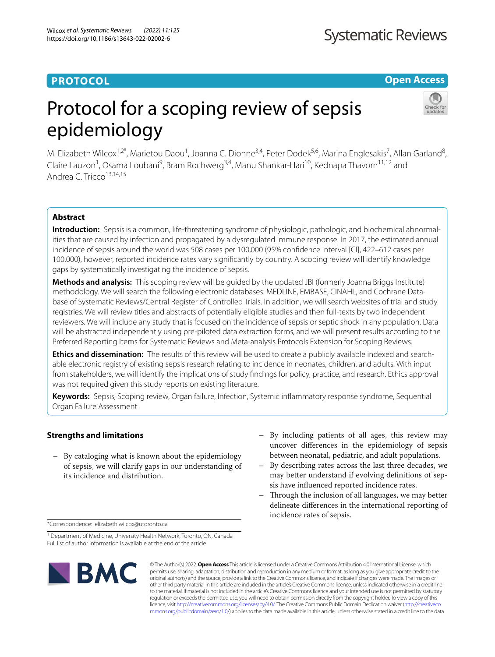# **PROTOCOL**

**Open Access**

# Protocol for a scoping review of sepsis epidemiology



M. Elizabeth Wilcox<sup>1,2\*</sup>, Marietou Daou<sup>1</sup>, Joanna C. Dionne<sup>3,4</sup>, Peter Dodek<sup>5,6</sup>, Marina Englesakis<sup>7</sup>, Allan Garland<sup>8</sup>, Claire Lauzon<sup>1</sup>, Osama Loubani<sup>9</sup>, Bram Rochwerg<sup>3,4</sup>, Manu Shankar-Hari<sup>10</sup>, Kednapa Thavorn<sup>11,12</sup> and Andrea C. Tricco<sup>13,14,15</sup>

## **Abstract**

**Introduction:** Sepsis is a common, life-threatening syndrome of physiologic, pathologic, and biochemical abnormalities that are caused by infection and propagated by a dysregulated immune response. In 2017, the estimated annual incidence of sepsis around the world was 508 cases per 100,000 (95% confdence interval [CI], 422–612 cases per 100,000), however, reported incidence rates vary signifcantly by country. A scoping review will identify knowledge gaps by systematically investigating the incidence of sepsis.

**Methods and analysis:** This scoping review will be guided by the updated JBI (formerly Joanna Briggs Institute) methodology. We will search the following electronic databases: MEDLINE, EMBASE, CINAHL, and Cochrane Database of Systematic Reviews/Central Register of Controlled Trials. In addition, we will search websites of trial and study registries. We will review titles and abstracts of potentially eligible studies and then full-texts by two independent reviewers. We will include any study that is focused on the incidence of sepsis or septic shock in any population. Data will be abstracted independently using pre-piloted data extraction forms, and we will present results according to the Preferred Reporting Items for Systematic Reviews and Meta-analysis Protocols Extension for Scoping Reviews.

**Ethics and dissemination:** The results of this review will be used to create a publicly available indexed and searchable electronic registry of existing sepsis research relating to incidence in neonates, children, and adults. With input from stakeholders, we will identify the implications of study fndings for policy, practice, and research. Ethics approval was not required given this study reports on existing literature.

**Keywords:** Sepsis, Scoping review, Organ failure, Infection, Systemic infammatory response syndrome, Sequential Organ Failure Assessment

## **Strengths and limitations**

- By cataloging what is known about the epidemiology of sepsis, we will clarify gaps in our understanding of its incidence and distribution.
- By including patients of all ages, this review may uncover diferences in the epidemiology of sepsis between neonatal, pediatric, and adult populations.
- By describing rates across the last three decades, we may better understand if evolving defnitions of sepsis have infuenced reported incidence rates.
- Through the inclusion of all languages, we may better delineate diferences in the international reporting of incidence rates of sepsis.

\*Correspondence: elizabeth.wilcox@utoronto.ca

<sup>&</sup>lt;sup>1</sup> Department of Medicine, University Health Network, Toronto, ON, Canada Full list of author information is available at the end of the article



© The Author(s) 2022. **Open Access** This article is licensed under a Creative Commons Attribution 4.0 International License, which permits use, sharing, adaptation, distribution and reproduction in any medium or format, as long as you give appropriate credit to the original author(s) and the source, provide a link to the Creative Commons licence, and indicate if changes were made. The images or other third party material in this article are included in the article's Creative Commons licence, unless indicated otherwise in a credit line to the material. If material is not included in the article's Creative Commons licence and your intended use is not permitted by statutory regulation or exceeds the permitted use, you will need to obtain permission directly from the copyright holder. To view a copy of this licence, visit [http://creativecommons.org/licenses/by/4.0/.](http://creativecommons.org/licenses/by/4.0/) The Creative Commons Public Domain Dedication waiver ([http://creativeco](http://creativecommons.org/publicdomain/zero/1.0/) [mmons.org/publicdomain/zero/1.0/](http://creativecommons.org/publicdomain/zero/1.0/)) applies to the data made available in this article, unless otherwise stated in a credit line to the data.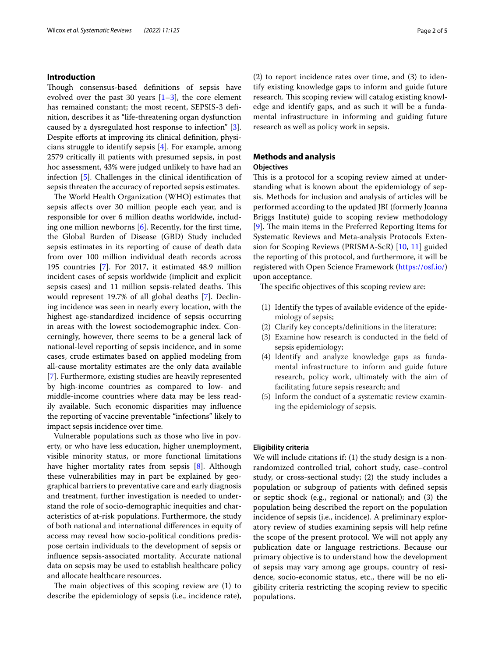#### **Introduction**

Though consensus-based definitions of sepsis have evolved over the past 30 years  $[1-3]$  $[1-3]$ , the core element has remained constant; the most recent, SEPSIS-3 defnition, describes it as "life-threatening organ dysfunction caused by a dysregulated host response to infection" [\[3](#page-4-1)]. Despite efforts at improving its clinical definition, physicians struggle to identify sepsis [[4\]](#page-4-2). For example, among 2579 critically ill patients with presumed sepsis, in post hoc assessment, 43% were judged unlikely to have had an infection [\[5](#page-4-3)]. Challenges in the clinical identifcation of sepsis threaten the accuracy of reported sepsis estimates.

The World Health Organization (WHO) estimates that sepsis afects over 30 million people each year, and is responsible for over 6 million deaths worldwide, including one million newborns [\[6](#page-4-4)]. Recently, for the frst time, the Global Burden of Disease (GBD) Study included sepsis estimates in its reporting of cause of death data from over 100 million individual death records across 195 countries [[7\]](#page-4-5). For 2017, it estimated 48.9 million incident cases of sepsis worldwide (implicit and explicit sepsis cases) and 11 million sepsis-related deaths. This would represent 19.7% of all global deaths [[7](#page-4-5)]. Declining incidence was seen in nearly every location, with the highest age-standardized incidence of sepsis occurring in areas with the lowest sociodemographic index. Concerningly, however, there seems to be a general lack of national-level reporting of sepsis incidence, and in some cases, crude estimates based on applied modeling from all-cause mortality estimates are the only data available [[7\]](#page-4-5). Furthermore, existing studies are heavily represented by high-income countries as compared to low- and middle-income countries where data may be less readily available. Such economic disparities may infuence the reporting of vaccine preventable "infections" likely to impact sepsis incidence over time.

Vulnerable populations such as those who live in poverty, or who have less education, higher unemployment, visible minority status, or more functional limitations have higher mortality rates from sepsis [[8](#page-4-6)]. Although these vulnerabilities may in part be explained by geographical barriers to preventative care and early diagnosis and treatment, further investigation is needed to understand the role of socio-demographic inequities and characteristics of at-risk populations. Furthermore, the study of both national and international diferences in equity of access may reveal how socio-political conditions predispose certain individuals to the development of sepsis or infuence sepsis-associated mortality. Accurate national data on sepsis may be used to establish healthcare policy and allocate healthcare resources.

The main objectives of this scoping review are  $(1)$  to describe the epidemiology of sepsis (i.e., incidence rate), (2) to report incidence rates over time, and (3) to identify existing knowledge gaps to inform and guide future research. This scoping review will catalog existing knowledge and identify gaps, and as such it will be a fundamental infrastructure in informing and guiding future research as well as policy work in sepsis.

## **Methods and analysis**

#### **Objectives**

This is a protocol for a scoping review aimed at understanding what is known about the epidemiology of sepsis. Methods for inclusion and analysis of articles will be performed according to the updated JBI (formerly Joanna Briggs Institute) guide to scoping review methodology [[9\]](#page-4-7). The main items in the Preferred Reporting Items for Systematic Reviews and Meta-analysis Protocols Extension for Scoping Reviews (PRISMA-ScR) [[10](#page-4-8), [11](#page-4-9)] guided the reporting of this protocol, and furthermore, it will be registered with Open Science Framework [\(https://osf.io/](https://osf.io/)) upon acceptance.

The specific objectives of this scoping review are:

- (1) Identify the types of available evidence of the epidemiology of sepsis;
- (2) Clarify key concepts/defnitions in the literature;
- (3) Examine how research is conducted in the feld of sepsis epidemiology;
- (4) Identify and analyze knowledge gaps as fundamental infrastructure to inform and guide future research, policy work, ultimately with the aim of facilitating future sepsis research; and
- (5) Inform the conduct of a systematic review examining the epidemiology of sepsis.

#### **Eligibility criteria**

We will include citations if: (1) the study design is a nonrandomized controlled trial, cohort study, case–control study, or cross-sectional study; (2) the study includes a population or subgroup of patients with defned sepsis or septic shock (e.g., regional or national); and (3) the population being described the report on the population incidence of sepsis (i.e., incidence). A preliminary exploratory review of studies examining sepsis will help refne the scope of the present protocol. We will not apply any publication date or language restrictions. Because our primary objective is to understand how the development of sepsis may vary among age groups, country of residence, socio-economic status, etc., there will be no eligibility criteria restricting the scoping review to specifc populations.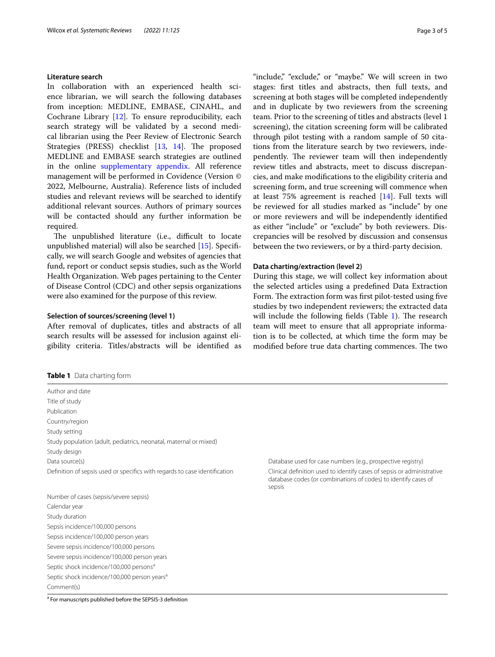#### **Literature search**

In collaboration with an experienced health science librarian, we will search the following databases from inception: MEDLINE, EMBASE, CINAHL, and Cochrane Library [[12](#page-4-10)]. To ensure reproducibility, each search strategy will be validated by a second medical librarian using the Peer Review of Electronic Search Strategies (PRESS) checklist [\[13](#page-4-11), [14\]](#page-4-12). The proposed MEDLINE and EMBASE search strategies are outlined in the online [supplementary appendix](#page-3-0). All reference management will be performed in Covidence (Version © 2022, Melbourne, Australia). Reference lists of included studies and relevant reviews will be searched to identify additional relevant sources. Authors of primary sources will be contacted should any further information be required.

The unpublished literature (i.e., difficult to locate unpublished material) will also be searched [\[15](#page-4-13)]. Specifcally, we will search Google and websites of agencies that fund, report or conduct sepsis studies, such as the World Health Organization. Web pages pertaining to the Center of Disease Control (CDC) and other sepsis organizations were also examined for the purpose of this review.

#### **Selection of sources/screening (level 1)**

<span id="page-2-0"></span>**Table 1** Data charting form

After removal of duplicates, titles and abstracts of all search results will be assessed for inclusion against eligibility criteria. Titles/abstracts will be identifed as

| Page 3 of 5 |  |  |  |
|-------------|--|--|--|
|-------------|--|--|--|

"include," "exclude," or "maybe." We will screen in two stages: frst titles and abstracts, then full texts, and screening at both stages will be completed independently and in duplicate by two reviewers from the screening team. Prior to the screening of titles and abstracts (level 1 screening), the citation screening form will be calibrated through pilot testing with a random sample of 50 citations from the literature search by two reviewers, independently. The reviewer team will then independently review titles and abstracts, meet to discuss discrepancies, and make modifcations to the eligibility criteria and screening form, and true screening will commence when at least 75% agreement is reached [\[14](#page-4-12)]. Full texts will be reviewed for all studies marked as "include" by one or more reviewers and will be independently identifed as either "include" or "exclude" by both reviewers. Discrepancies will be resolved by discussion and consensus between the two reviewers, or by a third-party decision.

#### **Data charting/extraction (level 2)**

During this stage, we will collect key information about the selected articles using a predefned Data Extraction Form. The extraction form was first pilot-tested using five studies by two independent reviewers; the extracted data will include the following fields (Table [1\)](#page-2-0). The research team will meet to ensure that all appropriate information is to be collected, at which time the form may be modified before true data charting commences. The two

| <b>EQUIC E</b> Data Charting form                                          |                                                                                                                                                    |
|----------------------------------------------------------------------------|----------------------------------------------------------------------------------------------------------------------------------------------------|
| Author and date                                                            |                                                                                                                                                    |
| Title of study                                                             |                                                                                                                                                    |
| Publication                                                                |                                                                                                                                                    |
| Country/region                                                             |                                                                                                                                                    |
| Study setting                                                              |                                                                                                                                                    |
| Study population (adult, pediatrics, neonatal, maternal or mixed)          |                                                                                                                                                    |
| Study design                                                               |                                                                                                                                                    |
| Data source(s)                                                             | Database used for case numbers (e.g., prospective registry)                                                                                        |
| Definition of sepsis used or specifics with regards to case identification | Clinical definition used to identify cases of sepsis or administrative<br>database codes (or combinations of codes) to identify cases of<br>sepsis |
| Number of cases (sepsis/severe sepsis)                                     |                                                                                                                                                    |
| Calendar year                                                              |                                                                                                                                                    |
| Study duration                                                             |                                                                                                                                                    |
| Sepsis incidence/100,000 persons                                           |                                                                                                                                                    |
| Sepsis incidence/100,000 person years                                      |                                                                                                                                                    |
| Severe sepsis incidence/100,000 persons                                    |                                                                                                                                                    |
| Severe sepsis incidence/100,000 person years                               |                                                                                                                                                    |
| Septic shock incidence/100,000 persons <sup>a</sup>                        |                                                                                                                                                    |
| Septic shock incidence/100,000 person years <sup>a</sup>                   |                                                                                                                                                    |
| Comment(s)                                                                 |                                                                                                                                                    |

<sup>a</sup> For manuscripts published before the SEPSIS-3 definition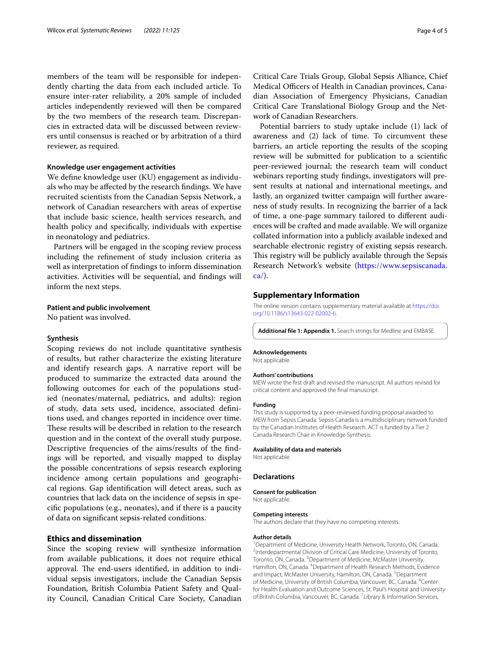members of the team will be responsible for independently charting the data from each included article. To ensure inter-rater reliability, a 20% sample of included articles independently reviewed will then be compared by the two members of the research team. Discrepancies in extracted data will be discussed between reviewers until consensus is reached or by arbitration of a third reviewer, as required.

#### **Knowledge user engagement activities**

We defne knowledge user (KU) engagement as individuals who may be afected by the research fndings. We have recruited scientists from the Canadian Sepsis Network, a network of Canadian researchers with areas of expertise that include basic science, health services research, and health policy and specifcally, individuals with expertise in neonatology and pediatrics.

Partners will be engaged in the scoping review process including the refnement of study inclusion criteria as well as interpretation of fndings to inform dissemination activities. Activities will be sequential, and fndings will inform the next steps.

#### **Patient and public involvement**

No patient was involved.

#### **Synthesis**

Scoping reviews do not include quantitative synthesis of results, but rather characterize the existing literature and identify research gaps. A narrative report will be produced to summarize the extracted data around the following outcomes for each of the populations studied (neonates/maternal, pediatrics, and adults): region of study, data sets used, incidence, associated defnitions used, and changes reported in incidence over time. These results will be described in relation to the research question and in the context of the overall study purpose. Descriptive frequencies of the aims/results of the fndings will be reported, and visually mapped to display the possible concentrations of sepsis research exploring incidence among certain populations and geographical regions. Gap identifcation will detect areas, such as countries that lack data on the incidence of sepsis in specifc populations (e.g., neonates), and if there is a paucity of data on signifcant sepsis-related conditions.

#### **Ethics and dissemination**

Since the scoping review will synthesize information from available publications, it does not require ethical approval. The end-users identified, in addition to individual sepsis investigators, include the Canadian Sepsis Foundation, British Columbia Patient Safety and Quality Council, Canadian Critical Care Society, Canadian

Critical Care Trials Group, Global Sepsis Alliance, Chief Medical Officers of Health in Canadian provinces, Canadian Association of Emergency Physicians, Canadian Critical Care Translational Biology Group and the Network of Canadian Researchers.

Potential barriers to study uptake include (1) lack of awareness and (2) lack of time. To circumvent these barriers, an article reporting the results of the scoping review will be submitted for publication to a scientifc peer-reviewed journal; the research team will conduct webinars reporting study fndings, investigators will present results at national and international meetings, and lastly, an organized twitter campaign will further awareness of study results. In recognizing the barrier of a lack of time, a one-page summary tailored to diferent audiences will be crafted and made available. We will organize collated information into a publicly available indexed and searchable electronic registry of existing sepsis research. This registry will be publicly available through the Sepsis Research Network's website [\(https://www.sepsiscanada.](https://www.sepsiscanada.ca/) [ca/](https://www.sepsiscanada.ca/)).

#### **Supplementary Information**

The online version contains supplementary material available at [https://doi.](https://doi.org/10.1186/s13643-022-02002-6) [org/10.1186/s13643-022-02002-6](https://doi.org/10.1186/s13643-022-02002-6).

<span id="page-3-0"></span>**Additional fle 1: Appendix 1.** Search strings for Medline and EMBASE.

#### **Acknowledgements**

Not applicable.

#### **Authors' contributions**

MEW wrote the frst draft and revised the manuscript. All authors revised for critical content and approved the fnal manuscript.

#### **Funding**

This study is supported by a peer-reviewed funding proposal awarded to MEW from Sepsis Canada. Sepsis Canada is a multidisciplinary network funded by the Canadian Institutes of Health Research. ACT is funded by a Tier 2 Canada Research Chair in Knowledge Synthesis.

#### **Availability of data and materials**

Not applicable.

#### **Declarations**

**Consent for publication**

Not applicable.

#### **Competing interests**

The authors declare that they have no competing interests.

#### **Author details**

<sup>1</sup> Department of Medicine, University Health Network, Toronto, ON, Canada.<br><sup>2</sup> Interdepartmental Division of Critical Care Medicine, University of Toronto. <sup>2</sup>Interdepartmental Division of Critical Care Medicine, University of Toronto, Toronto, ON, Canada. <sup>3</sup> Department of Medicine, McMaster University, Hamilton, ON, Canada. <sup>4</sup> Department of Health Research Methods, Evidence and Impact, McMaster University, Hamilton, ON, Canada. <sup>5</sup> Department of Medicine, University of British Columbia, Vancouver, BC, Canada. <sup>6</sup>Center for Health Evaluation and Outcome Sciences, St. Paul's Hospital and University of British Columbia, Vancouver, BC, Canada. <sup>7</sup> Library & Information Services,